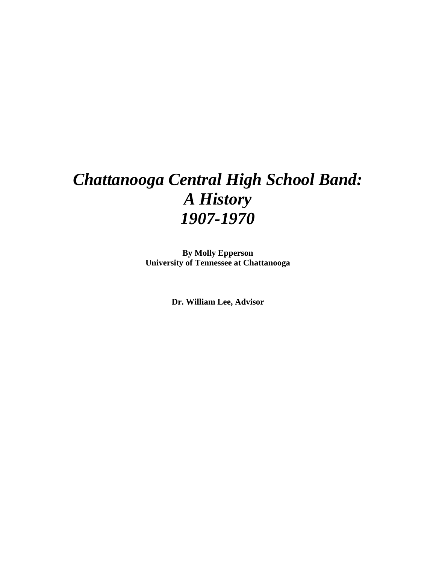# *Chattanooga Central High School Band: A History 1907-1970*

**By Molly Epperson University of Tennessee at Chattanooga** 

**Dr. William Lee, Advisor**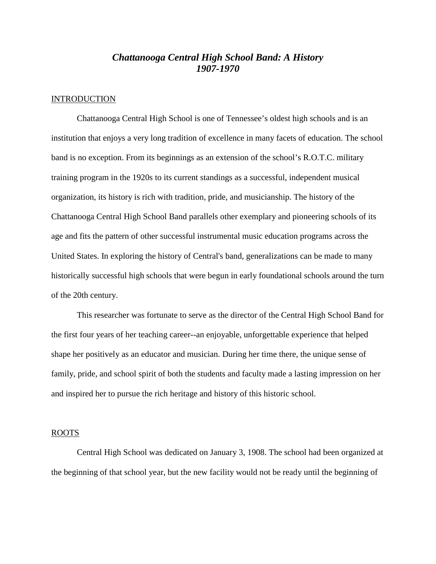### *Chattanooga Central High School Band: A History 1907-1970*

#### INTRODUCTION

 Chattanooga Central High School is one of Tennessee's oldest high schools and is an institution that enjoys a very long tradition of excellence in many facets of education. The school band is no exception. From its beginnings as an extension of the school's R.O.T.C. military training program in the 1920s to its current standings as a successful, independent musical organization, its history is rich with tradition, pride, and musicianship. The history of the Chattanooga Central High School Band parallels other exemplary and pioneering schools of its age and fits the pattern of other successful instrumental music education programs across the United States. In exploring the history of Central's band, generalizations can be made to many historically successful high schools that were begun in early foundational schools around the turn of the 20th century.

This researcher was fortunate to serve as the director of the Central High School Band for the first four years of her teaching career--an enjoyable, unforgettable experience that helped shape her positively as an educator and musician. During her time there, the unique sense of family, pride, and school spirit of both the students and faculty made a lasting impression on her and inspired her to pursue the rich heritage and history of this historic school.

#### ROOTS

 Central High School was dedicated on January 3, 1908. The school had been organized at the beginning of that school year, but the new facility would not be ready until the beginning of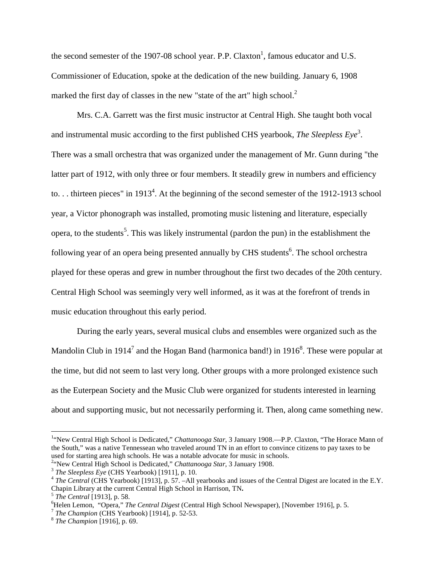the second semester of the 1907-08 school year. P.P. Claxton<sup>1</sup>, famous educator and U.S. Commissioner of Education, spoke at the dedication of the new building. January 6, 1908 marked the first day of classes in the new "state of the art" high school. $2$ 

 Mrs. C.A. Garrett was the first music instructor at Central High. She taught both vocal and instrumental music according to the first published CHS yearbook, *The Sleepless Eye*<sup>3</sup>. There was a small orchestra that was organized under the management of Mr. Gunn during "the latter part of 1912, with only three or four members. It steadily grew in numbers and efficiency to... thirteen pieces" in 1913<sup>4</sup>. At the beginning of the second semester of the 1912-1913 school year, a Victor phonograph was installed, promoting music listening and literature, especially opera, to the students<sup>5</sup>. This was likely instrumental (pardon the pun) in the establishment the following year of an opera being presented annually by CHS students<sup>6</sup>. The school orchestra played for these operas and grew in number throughout the first two decades of the 20th century. Central High School was seemingly very well informed, as it was at the forefront of trends in music education throughout this early period.

During the early years, several musical clubs and ensembles were organized such as the Mandolin Club in 1914<sup>7</sup> and the Hogan Band (harmonica band!) in 1916<sup>8</sup>. These were popular at the time, but did not seem to last very long. Other groups with a more prolonged existence such as the Euterpean Society and the Music Club were organized for students interested in learning about and supporting music, but not necessarily performing it. Then, along came something new.

 1 "New Central High School is Dedicated," *Chattanooga Star*, 3 January 1908.—P.P. Claxton, "The Horace Mann of the South," was a native Tennessean who traveled around TN in an effort to convince citizens to pay taxes to be used for starting area high schools. He was a notable advocate for music in schools.

<sup>&</sup>lt;sup>2</sup>"New Central High School is Dedicated," *Chattanooga Star*, 3 January 1908.

<sup>3</sup> *The Sleepless Eye* (CHS Yearbook) [1911], p. 10.

<sup>&</sup>lt;sup>4</sup> The Central (CHS Yearbook) [1913], p. 57. –All yearbooks and issues of the Central Digest are located in the E.Y. Chapin Library at the current Central High School in Harrison, TN**.**

<sup>5</sup> *The Central* [1913], p. 58.

<sup>6</sup>Helen Lemon, "Opera," *The Central Digest* (Central High School Newspaper), [November 1916], p. 5. 7 *The Champion* (CHS Yearbook) [1914], p. 52-53.

<sup>8</sup> *The Champion* [1916], p. 69.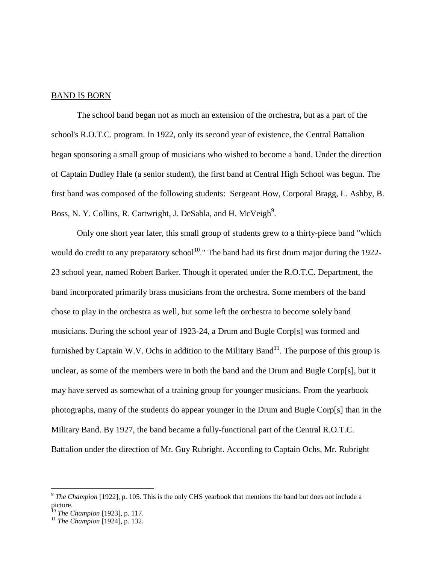#### BAND IS BORN

 The school band began not as much an extension of the orchestra, but as a part of the school's R.O.T.C. program. In 1922, only its second year of existence, the Central Battalion began sponsoring a small group of musicians who wished to become a band. Under the direction of Captain Dudley Hale (a senior student), the first band at Central High School was begun. The first band was composed of the following students: Sergeant How, Corporal Bragg, L. Ashby, B. Boss, N. Y. Collins, R. Cartwright, J. DeSabla, and H. McVeigh<sup>9</sup>.

 Only one short year later, this small group of students grew to a thirty-piece band "which would do credit to any preparatory school<sup>10</sup>." The band had its first drum major during the 1922-23 school year, named Robert Barker. Though it operated under the R.O.T.C. Department, the band incorporated primarily brass musicians from the orchestra. Some members of the band chose to play in the orchestra as well, but some left the orchestra to become solely band musicians. During the school year of 1923-24, a Drum and Bugle Corp[s] was formed and furnished by Captain W.V. Ochs in addition to the Military Band<sup>11</sup>. The purpose of this group is unclear, as some of the members were in both the band and the Drum and Bugle Corp[s], but it may have served as somewhat of a training group for younger musicians. From the yearbook photographs, many of the students do appear younger in the Drum and Bugle Corp[s] than in the Military Band. By 1927, the band became a fully-functional part of the Central R.O.T.C. Battalion under the direction of Mr. Guy Rubright. According to Captain Ochs, Mr. Rubright

<sup>&</sup>lt;sup>9</sup> The Champion [1922], p. 105. This is the only CHS yearbook that mentions the band but does not include a picture.

<sup>10</sup> *The Champion* [1923], p. 117.

<sup>11</sup> *The Champion* [1924], p. 132.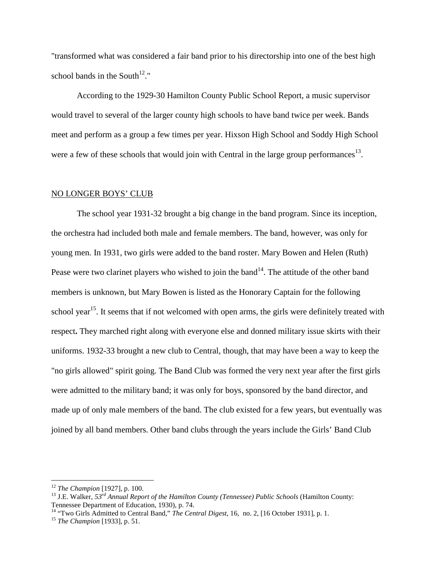"transformed what was considered a fair band prior to his directorship into one of the best high school bands in the South $12$ ."

 According to the 1929-30 Hamilton County Public School Report, a music supervisor would travel to several of the larger county high schools to have band twice per week. Bands meet and perform as a group a few times per year. Hixson High School and Soddy High School were a few of these schools that would join with Central in the large group performances<sup>13</sup>.

#### NO LONGER BOYS' CLUB

 The school year 1931-32 brought a big change in the band program. Since its inception, the orchestra had included both male and female members. The band, however, was only for young men. In 1931, two girls were added to the band roster. Mary Bowen and Helen (Ruth) Pease were two clarinet players who wished to join the band<sup>14</sup>. The attitude of the other band members is unknown, but Mary Bowen is listed as the Honorary Captain for the following school year<sup>15</sup>. It seems that if not welcomed with open arms, the girls were definitely treated with respect**.** They marched right along with everyone else and donned military issue skirts with their uniforms. 1932-33 brought a new club to Central, though, that may have been a way to keep the "no girls allowed" spirit going. The Band Club was formed the very next year after the first girls were admitted to the military band; it was only for boys, sponsored by the band director, and made up of only male members of the band. The club existed for a few years, but eventually was joined by all band members. Other band clubs through the years include the Girls' Band Club

 $\overline{a}$ 

<sup>12</sup> *The Champion* [1927], p. 100.

<sup>13</sup> J.E. Walker, *53rd Annual Report of the Hamilton County (Tennessee) Public Schools* (Hamilton County: Tennessee Department of Education, 1930), p. 74.

<sup>14</sup> "Two Girls Admitted to Central Band," *The Central Digest*, 16, no. 2, [16 October 1931], p. 1.

<sup>15</sup> *The Champion* [1933], p. 51.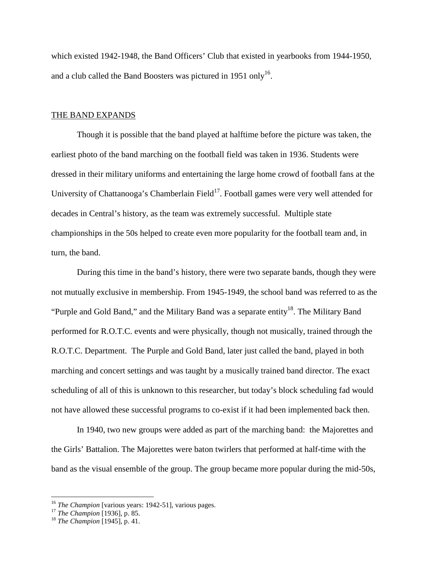which existed 1942-1948, the Band Officers' Club that existed in yearbooks from 1944-1950, and a club called the Band Boosters was pictured in 1951 only<sup>16</sup>.

#### THE BAND EXPANDS

 Though it is possible that the band played at halftime before the picture was taken, the earliest photo of the band marching on the football field was taken in 1936. Students were dressed in their military uniforms and entertaining the large home crowd of football fans at the University of Chattanooga's Chamberlain Field<sup>17</sup>. Football games were very well attended for decades in Central's history, as the team was extremely successful. Multiple state championships in the 50s helped to create even more popularity for the football team and, in turn, the band.

 During this time in the band's history, there were two separate bands, though they were not mutually exclusive in membership. From 1945-1949, the school band was referred to as the "Purple and Gold Band," and the Military Band was a separate entity<sup>18</sup>. The Military Band performed for R.O.T.C. events and were physically, though not musically, trained through the R.O.T.C. Department. The Purple and Gold Band, later just called the band, played in both marching and concert settings and was taught by a musically trained band director. The exact scheduling of all of this is unknown to this researcher, but today's block scheduling fad would not have allowed these successful programs to co-exist if it had been implemented back then.

 In 1940, two new groups were added as part of the marching band: the Majorettes and the Girls' Battalion. The Majorettes were baton twirlers that performed at half-time with the band as the visual ensemble of the group. The group became more popular during the mid-50s,

<u>.</u>

<sup>&</sup>lt;sup>16</sup> The Champion [various years: 1942-51], various pages.

<sup>17</sup> *The Champion* [1936], p. 85.

<sup>18</sup> *The Champion* [1945], p. 41.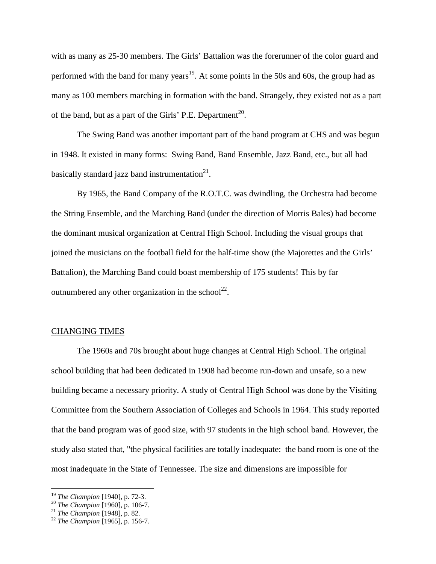with as many as 25-30 members. The Girls' Battalion was the forerunner of the color guard and performed with the band for many years<sup>19</sup>. At some points in the 50s and 60s, the group had as many as 100 members marching in formation with the band. Strangely, they existed not as a part of the band, but as a part of the Girls' P.E. Department<sup>20</sup>.

 The Swing Band was another important part of the band program at CHS and was begun in 1948. It existed in many forms: Swing Band, Band Ensemble, Jazz Band, etc., but all had basically standard jazz band instrumentation $21$ .

 By 1965, the Band Company of the R.O.T.C. was dwindling, the Orchestra had become the String Ensemble, and the Marching Band (under the direction of Morris Bales) had become the dominant musical organization at Central High School. Including the visual groups that joined the musicians on the football field for the half-time show (the Majorettes and the Girls' Battalion), the Marching Band could boast membership of 175 students! This by far outnumbered any other organization in the school<sup>22</sup>.

#### CHANGING TIMES

 The 1960s and 70s brought about huge changes at Central High School. The original school building that had been dedicated in 1908 had become run-down and unsafe, so a new building became a necessary priority. A study of Central High School was done by the Visiting Committee from the Southern Association of Colleges and Schools in 1964. This study reported that the band program was of good size, with 97 students in the high school band. However, the study also stated that, "the physical facilities are totally inadequate: the band room is one of the most inadequate in the State of Tennessee. The size and dimensions are impossible for

<u>.</u>

<sup>19</sup> *The Champion* [1940], p. 72-3.

<sup>20</sup> *The Champion* [1960], p. 106-7.

<sup>21</sup> *The Champion* [1948], p. 82.

<sup>22</sup> *The Champion* [1965], p. 156-7.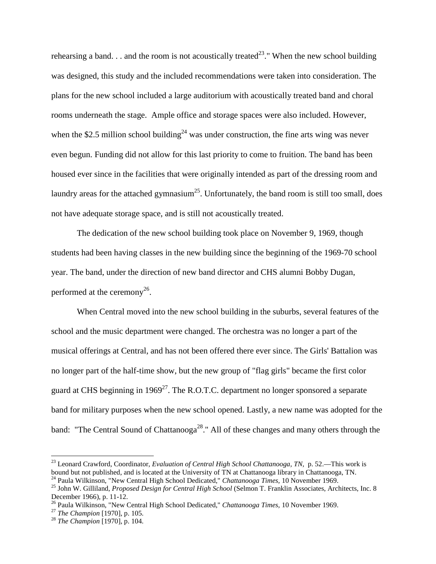rehearsing a band. . . and the room is not acoustically treated<sup>23</sup>." When the new school building was designed, this study and the included recommendations were taken into consideration. The plans for the new school included a large auditorium with acoustically treated band and choral rooms underneath the stage. Ample office and storage spaces were also included. However, when the \$2.5 million school building<sup>24</sup> was under construction, the fine arts wing was never even begun. Funding did not allow for this last priority to come to fruition. The band has been housed ever since in the facilities that were originally intended as part of the dressing room and laundry areas for the attached gymnasium<sup>25</sup>. Unfortunately, the band room is still too small, does not have adequate storage space, and is still not acoustically treated.

 The dedication of the new school building took place on November 9, 1969, though students had been having classes in the new building since the beginning of the 1969-70 school year. The band, under the direction of new band director and CHS alumni Bobby Dugan, performed at the ceremony<sup>26</sup>.

 When Central moved into the new school building in the suburbs, several features of the school and the music department were changed. The orchestra was no longer a part of the musical offerings at Central, and has not been offered there ever since. The Girls' Battalion was no longer part of the half-time show, but the new group of "flag girls" became the first color guard at CHS beginning in 1969<sup>27</sup>. The R.O.T.C. department no longer sponsored a separate band for military purposes when the new school opened. Lastly, a new name was adopted for the band: "The Central Sound of Chattanooga<sup>28</sup>." All of these changes and many others through the

<u>.</u>

<sup>23</sup> Leonard Crawford, Coordinator, *Evaluation of Central High School Chattanooga, TN*, p. 52.—This work is bound but not published, and is located at the University of TN at Chattanooga library in Chattanooga, TN.

<sup>24</sup> Paula Wilkinson, "New Central High School Dedicated," *Chattanooga Times,* 10 November 1969.

<sup>&</sup>lt;sup>25</sup> John W. Gilliland, *Proposed Design for Central High School* (Selmon T. Franklin Associates, Architects, Inc. 8 December 1966), p. 11-12.

<sup>26</sup> Paula Wilkinson, "New Central High School Dedicated," *Chattanooga Times,* 10 November 1969.

<sup>27</sup> *The Champion* [1970], p. 105.

<sup>28</sup> *The Champion* [1970], p. 104.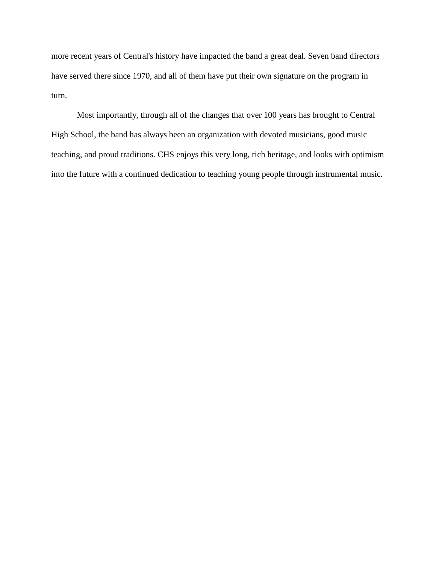more recent years of Central's history have impacted the band a great deal. Seven band directors have served there since 1970, and all of them have put their own signature on the program in turn.

 Most importantly, through all of the changes that over 100 years has brought to Central High School, the band has always been an organization with devoted musicians, good music teaching, and proud traditions. CHS enjoys this very long, rich heritage, and looks with optimism into the future with a continued dedication to teaching young people through instrumental music.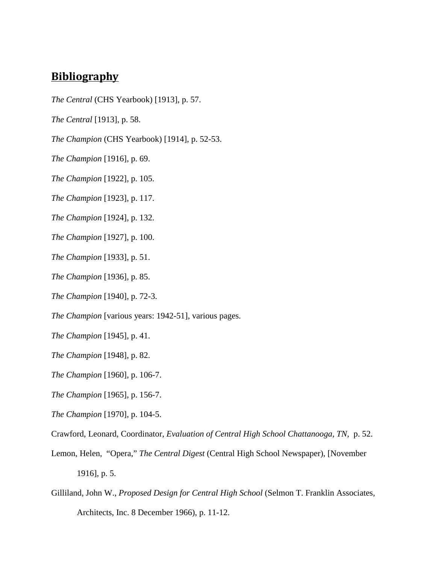## **Bibliography**

- *The Central* (CHS Yearbook) [1913], p. 57.
- *The Central* [1913], p. 58.
- *The Champion* (CHS Yearbook) [1914], p. 52-53.
- *The Champion* [1916], p. 69.
- *The Champion* [1922], p. 105.
- *The Champion* [1923], p. 117.
- *The Champion* [1924], p. 132.
- *The Champion* [1927], p. 100.
- *The Champion* [1933], p. 51.
- *The Champion* [1936], p. 85.
- *The Champion* [1940], p. 72-3.
- *The Champion [various years: 1942-51], various pages.*
- *The Champion* [1945], p. 41.
- *The Champion* [1948], p. 82.
- *The Champion* [1960], p. 106-7.
- *The Champion* [1965], p. 156-7.
- *The Champion* [1970], p. 104-5.
- Crawford, Leonard, Coordinator, *Evaluation of Central High School Chattanooga, TN*, p. 52.
- Lemon, Helen, "Opera," *The Central Digest* (Central High School Newspaper), [November 1916], p. 5.
- Gilliland, John W., *Proposed Design for Central High School* (Selmon T. Franklin Associates, Architects, Inc. 8 December 1966), p. 11-12.